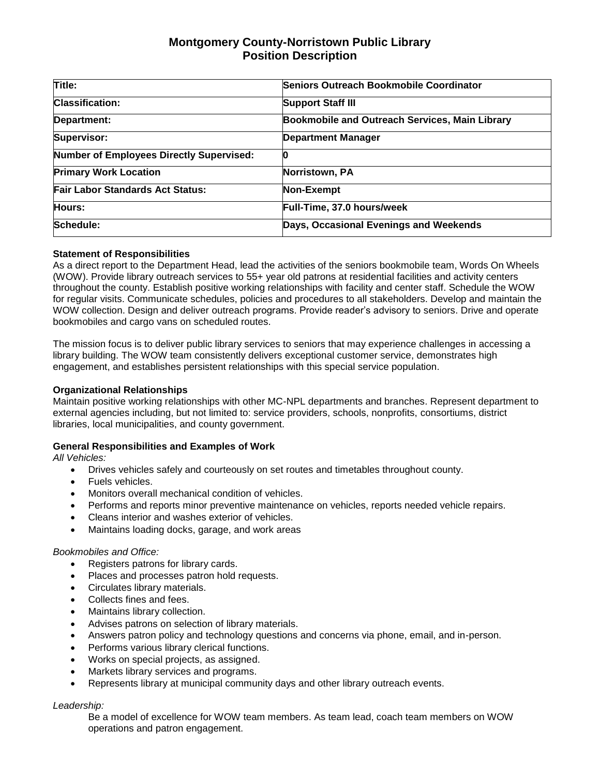# **Montgomery County-Norristown Public Library Position Description**

| Title:                                          | Seniors Outreach Bookmobile Coordinator        |
|-------------------------------------------------|------------------------------------------------|
| <b>Classification:</b>                          | <b>Support Staff III</b>                       |
| Department:                                     | Bookmobile and Outreach Services, Main Library |
| Supervisor:                                     | <b>Department Manager</b>                      |
| <b>Number of Employees Directly Supervised:</b> |                                                |
| <b>Primary Work Location</b>                    | Norristown, PA                                 |
| <b>Fair Labor Standards Act Status:</b>         | Non-Exempt                                     |
| Hours:                                          | Full-Time, 37.0 hours/week                     |
| Schedule:                                       | Days, Occasional Evenings and Weekends         |

### **Statement of Responsibilities**

As a direct report to the Department Head, lead the activities of the seniors bookmobile team, Words On Wheels (WOW). Provide library outreach services to 55+ year old patrons at residential facilities and activity centers throughout the county. Establish positive working relationships with facility and center staff. Schedule the WOW for regular visits. Communicate schedules, policies and procedures to all stakeholders. Develop and maintain the WOW collection. Design and deliver outreach programs. Provide reader's advisory to seniors. Drive and operate bookmobiles and cargo vans on scheduled routes.

The mission focus is to deliver public library services to seniors that may experience challenges in accessing a library building. The WOW team consistently delivers exceptional customer service, demonstrates high engagement, and establishes persistent relationships with this special service population.

#### **Organizational Relationships**

Maintain positive working relationships with other MC-NPL departments and branches. Represent department to external agencies including, but not limited to: service providers, schools, nonprofits, consortiums, district libraries, local municipalities, and county government.

#### **General Responsibilities and Examples of Work**

*All Vehicles:*

- Drives vehicles safely and courteously on set routes and timetables throughout county.
- Fuels vehicles.
- Monitors overall mechanical condition of vehicles.
- Performs and reports minor preventive maintenance on vehicles, reports needed vehicle repairs.
- Cleans interior and washes exterior of vehicles.
- Maintains loading docks, garage, and work areas

#### *Bookmobiles and Office:*

- Registers patrons for library cards.
- Places and processes patron hold requests.
- Circulates library materials.
- Collects fines and fees.
- Maintains library collection.
- Advises patrons on selection of library materials.
- Answers patron policy and technology questions and concerns via phone, email, and in-person.
- Performs various library clerical functions.
- Works on special projects, as assigned.
- Markets library services and programs.
- Represents library at municipal community days and other library outreach events.

#### *Leadership:*

Be a model of excellence for WOW team members. As team lead, coach team members on WOW operations and patron engagement.